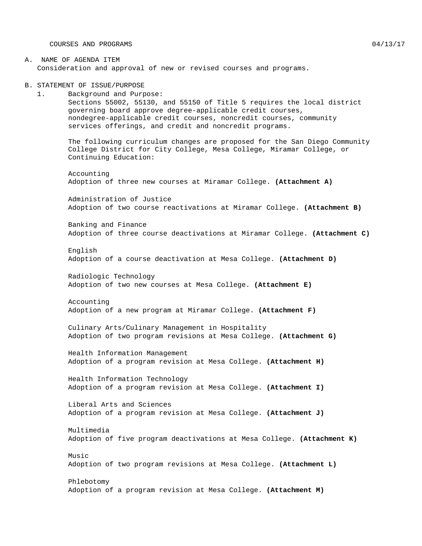COURSES AND PROGRAMS  $04/13/17$ 

### A. NAME OF AGENDA ITEM Consideration and approval of new or revised courses and programs.

B. STATEMENT OF ISSUE/PURPOSE

1. Background and Purpose: Sections 55002, 55130, and 55150 of Title 5 requires the local district governing board approve degree-applicable credit courses, nondegree-applicable credit courses, noncredit courses, community services offerings, and credit and noncredit programs.

The following curriculum changes are proposed for the San Diego Community College District for City College, Mesa College, Miramar College, or Continuing Education:

Accounting Adoption of three new courses at Miramar College. **(Attachment A)**

Administration of Justice Adoption of two course reactivations at Miramar College. **(Attachment B)**

Banking and Finance Adoption of three course deactivations at Miramar College. **(Attachment C)**

English Adoption of a course deactivation at Mesa College. **(Attachment D)**

Radiologic Technology Adoption of two new courses at Mesa College. **(Attachment E)**

Accounting Adoption of a new program at Miramar College. **(Attachment F)**

Culinary Arts/Culinary Management in Hospitality Adoption of two program revisions at Mesa College. **(Attachment G)**

Health Information Management Adoption of a program revision at Mesa College. **(Attachment H)**

Health Information Technology Adoption of a program revision at Mesa College. **(Attachment I)**

Liberal Arts and Sciences Adoption of a program revision at Mesa College. **(Attachment J)**

Multimedia Adoption of five program deactivations at Mesa College. **(Attachment K)**

Music Adoption of two program revisions at Mesa College. **(Attachment L)**

Phlebotomy Adoption of a program revision at Mesa College. **(Attachment M)**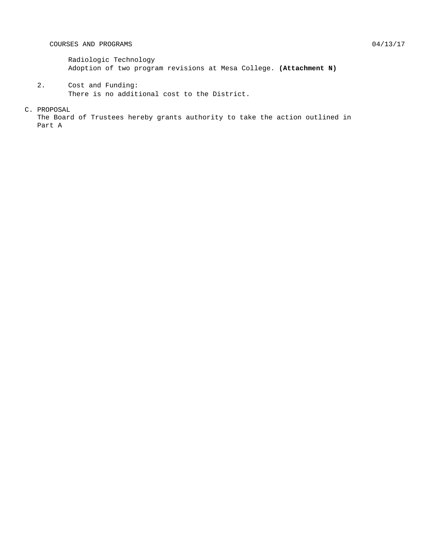#### COURSES AND PROGRAMS 604/13/17

2. Cost and Funding: There is no additional cost to the District.

### C. PROPOSAL

The Board of Trustees hereby grants authority to take the action outlined in Part A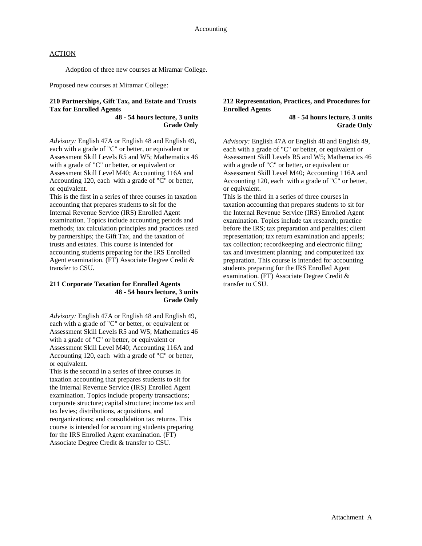Adoption of three new courses at Miramar College.

Proposed new courses at Miramar College:

## **210 Partnerships, Gift Tax, and Estate and Trusts Tax for Enrolled Agents**

**48 - 54 hours lecture, 3 units Grade Only**

*Advisory:* English 47A or English 48 and English 49, each with a grade of "C" or better, or equivalent or Assessment Skill Levels R5 and W5; Mathematics 46 with a grade of "C" or better, or equivalent or Assessment Skill Level M40; Accounting 116A and Accounting 120, each with a grade of "C" or better, or equivalent.

This is the first in a series of three courses in taxation accounting that prepares students to sit for the Internal Revenue Service (IRS) Enrolled Agent examination. Topics include accounting periods and methods; tax calculation principles and practices used by partnerships; the Gift Tax, and the taxation of trusts and estates. This course is intended for accounting students preparing for the IRS Enrolled Agent examination. (FT) Associate Degree Credit & transfer to CSU.

### **211 Corporate Taxation for Enrolled Agents 48 - 54 hours lecture, 3 units Grade Only**

*Advisory:* English 47A or English 48 and English 49, each with a grade of "C" or better, or equivalent or Assessment Skill Levels R5 and W5; Mathematics 46 with a grade of "C" or better, or equivalent or Assessment Skill Level M40; Accounting 116A and Accounting 120, each with a grade of "C" or better, or equivalent.

This is the second in a series of three courses in taxation accounting that prepares students to sit for the Internal Revenue Service (IRS) Enrolled Agent examination. Topics include property transactions; corporate structure; capital structure; income tax and tax levies; distributions, acquisitions, and reorganizations; and consolidation tax returns. This course is intended for accounting students preparing for the IRS Enrolled Agent examination. (FT) Associate Degree Credit & transfer to CSU.

#### **212 Representation, Practices, and Procedures for Enrolled Agents**

**48 - 54 hours lecture, 3 units Grade Only**

*Advisory:* English 47A or English 48 and English 49, each with a grade of "C" or better, or equivalent or Assessment Skill Levels R5 and W5; Mathematics 46 with a grade of "C" or better, or equivalent or Assessment Skill Level M40; Accounting 116A and Accounting 120, each with a grade of "C" or better, or equivalent.

This is the third in a series of three courses in taxation accounting that prepares students to sit for the Internal Revenue Service (IRS) Enrolled Agent examination. Topics include tax research; practice before the IRS; tax preparation and penalties; client representation; tax return examination and appeals; tax collection; recordkeeping and electronic filing; tax and investment planning; and computerized tax preparation. This course is intended for accounting students preparing for the IRS Enrolled Agent examination. (FT) Associate Degree Credit & transfer to CSU.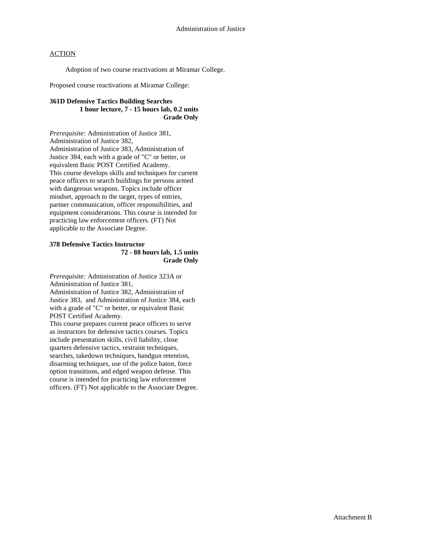Adoption of two course reactivations at Miramar College.

Proposed course reactivations at Miramar College:

#### **361D Defensive Tactics Building Searches 1 hour lecture, 7 - 15 hours lab, 0.2 units Grade Only**

*Prerequisite:* Administration of Justice 381, Administration of Justice 382, Administration of Justice 383, Administration of Justice 384, each with a grade of "C" or better, or equivalent Basic POST Certified Academy. This course develops skills and techniques for current peace officers to search buildings for persons armed with dangerous weapons. Topics include officer mindset, approach to the target, types of entries, partner communication, officer responsibilities, and equipment considerations. This course is intended for practicing law enforcement officers. (FT) Not applicable to the Associate Degree.

### **378 Defensive Tactics Instructor 72 - 88 hours lab, 1.5 units Grade Only**

*Prerequisite:* Administration of Justice 323A or Administration of Justice 381, Administration of Justice 382, Administration of Justice 383, and Administration of Justice 384, each

with a grade of "C" or better, or equivalent Basic POST Certified Academy.

This course prepares current peace officers to serve as instructors for defensive tactics courses. Topics include presentation skills, civil liability, close quarters defensive tactics, restraint techniques, searches, takedown techniques, handgun retention, disarming techniques, use of the police baton, force option transitions, and edged weapon defense. This course is intended for practicing law enforcement officers. (FT) Not applicable to the Associate Degree.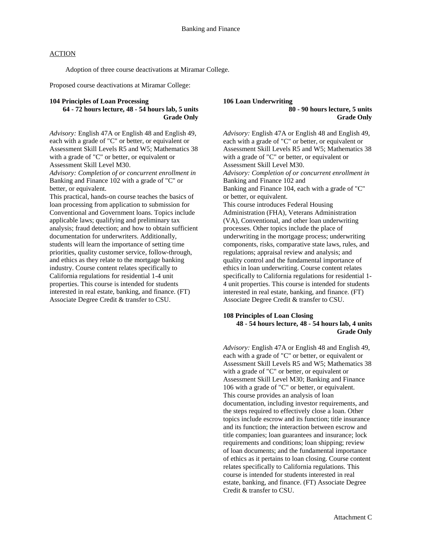Adoption of three course deactivations at Miramar College.

Proposed course deactivations at Miramar College:

#### **104 Principles of Loan Processing**

**64 - 72 hours lecture, 48 - 54 hours lab, 5 units Grade Only**

*Advisory:* English 47A or English 48 and English 49, each with a grade of "C" or better, or equivalent or Assessment Skill Levels R5 and W5; Mathematics 38 with a grade of "C" or better, or equivalent or Assessment Skill Level M30.

*Advisory: Completion of or concurrent enrollment in*  Banking and Finance 102 with a grade of "C" or better, or equivalent.

This practical, hands-on course teaches the basics of loan processing from application to submission for Conventional and Government loans. Topics include applicable laws; qualifying and preliminary tax analysis; fraud detection; and how to obtain sufficient documentation for underwriters. Additionally, students will learn the importance of setting time priorities, quality customer service, follow-through, and ethics as they relate to the mortgage banking industry. Course content relates specifically to California regulations for residential 1-4 unit properties. This course is intended for students interested in real estate, banking, and finance. (FT) Associate Degree Credit & transfer to CSU.

#### **106 Loan Underwriting 80 - 90 hours lecture, 5 units Grade Only**

*Advisory:* English 47A or English 48 and English 49, each with a grade of "C" or better, or equivalent or Assessment Skill Levels R5 and W5; Mathematics 38 with a grade of "C" or better, or equivalent or Assessment Skill Level M30. *Advisory: Completion of or concurrent enrollment in*  Banking and Finance 102 and Banking and Finance 104, each with a grade of "C" or better, or equivalent. This course introduces Federal Housing Administration (FHA), Veterans Administration (VA), Conventional, and other loan underwriting processes. Other topics include the place of underwriting in the mortgage process; underwriting components, risks, comparative state laws, rules, and regulations; appraisal review and analysis; and quality control and the fundamental importance of ethics in loan underwriting. Course content relates specifically to California regulations for residential 1- 4 unit properties. This course is intended for students interested in real estate, banking, and finance. (FT) Associate Degree Credit & transfer to CSU.

#### **108 Principles of Loan Closing 48 - 54 hours lecture, 48 - 54 hours lab, 4 units Grade Only**

*Advisory:* English 47A or English 48 and English 49, each with a grade of "C" or better, or equivalent or Assessment Skill Levels R5 and W5; Mathematics 38 with a grade of "C" or better, or equivalent or Assessment Skill Level M30; Banking and Finance 106 with a grade of "C" or better, or equivalent. This course provides an analysis of loan documentation, including investor requirements, and the steps required to effectively close a loan. Other topics include escrow and its function; title insurance and its function; the interaction between escrow and title companies; loan guarantees and insurance; lock requirements and conditions; loan shipping; review of loan documents; and the fundamental importance of ethics as it pertains to loan closing. Course content relates specifically to California regulations. This course is intended for students interested in real estate, banking, and finance. (FT) Associate Degree Credit & transfer to CSU.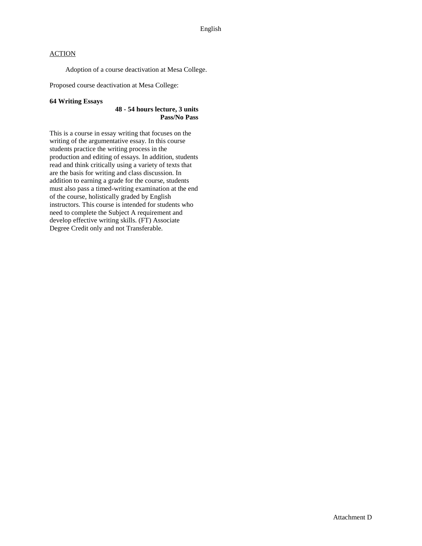Adoption of a course deactivation at Mesa College.

Proposed course deactivation at Mesa College:

#### **64 Writing Essays**

### **48 - 54 hours lecture, 3 units Pass/No Pass**

This is a course in essay writing that focuses on the writing of the argumentative essay. In this course students practice the writing process in the production and editing of essays. In addition, students read and think critically using a variety of texts that are the basis for writing and class discussion. In addition to earning a grade for the course, students must also pass a timed-writing examination at the end of the course, holistically graded by English instructors. This course is intended for students who need to complete the Subject A requirement and develop effective writing skills. (FT) Associate Degree Credit only and not Transferable.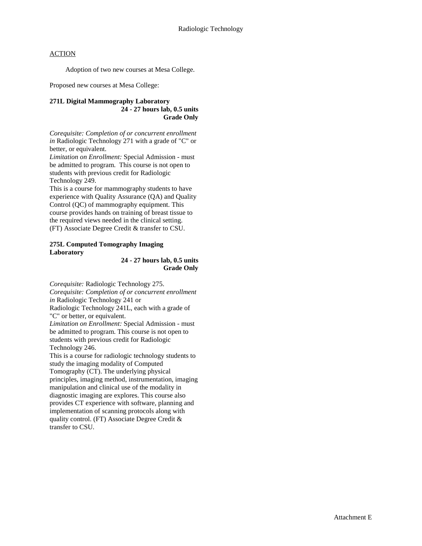Adoption of two new courses at Mesa College.

Proposed new courses at Mesa College:

### **271L Digital Mammography Laboratory 24 - 27 hours lab, 0.5 units Grade Only**

*Corequisite: Completion of or concurrent enrollment in* Radiologic Technology 271 with a grade of "C" or better, or equivalent.

*Limitation on Enrollment:* Special Admission - must be admitted to program. This course is not open to students with previous credit for Radiologic Technology 249.

This is a course for mammography students to have experience with Quality Assurance (QA) and Quality Control (QC) of mammography equipment. This course provides hands on training of breast tissue to the required views needed in the clinical setting. (FT) Associate Degree Credit & transfer to CSU.

## **275L Computed Tomography Imaging Laboratory**

### **24 - 27 hours lab, 0.5 units Grade Only**

*Corequisite:* Radiologic Technology 275. *Corequisite: Completion of or concurrent enrollment in* Radiologic Technology 241 or

Radiologic Technology 241L, each with a grade of "C" or better, or equivalent.

*Limitation on Enrollment:* Special Admission - must be admitted to program. This course is not open to students with previous credit for Radiologic Technology 246.

This is a course for radiologic technology students to study the imaging modality of Computed Tomography (CT). The underlying physical principles, imaging method, instrumentation, imaging manipulation and clinical use of the modality in diagnostic imaging are explores. This course also provides CT experience with software, planning and implementation of scanning protocols along with quality control. (FT) Associate Degree Credit & transfer to CSU.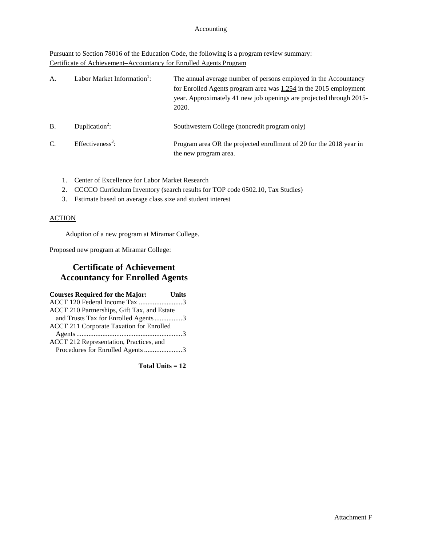### Accounting

Pursuant to Section 78016 of the Education Code, the following is a program review summary: Certificate of Achievement–Accountancy for Enrolled Agents Program

| А.            | Labor Market Information <sup>1</sup> : | The annual average number of persons employed in the Accountancy<br>for Enrolled Agents program area was $1,254$ in the 2015 employment<br>year. Approximately 41 new job openings are projected through 2015-<br>2020. |
|---------------|-----------------------------------------|-------------------------------------------------------------------------------------------------------------------------------------------------------------------------------------------------------------------------|
| <b>B.</b>     | Duplication <sup>2</sup> :              | Southwestern College (noncredit program only)                                                                                                                                                                           |
| $\mathcal{C}$ | Effectiveness <sup>3</sup> :            | Program area OR the projected enrollment of 20 for the 2018 year in<br>the new program area.                                                                                                                            |

- 1. Center of Excellence for Labor Market Research
- 2. CCCCO Curriculum Inventory (search results for TOP code 0502.10, Tax Studies)
- 3. Estimate based on average class size and student interest

### ACTION

Adoption of a new program at Miramar College.

Proposed new program at Miramar College:

## **Certificate of Achievement Accountancy for Enrolled Agents**

| ACCT 120 Federal Income Tax 3<br>ACCT 210 Partnerships, Gift Tax, and Estate |
|------------------------------------------------------------------------------|
|                                                                              |
|                                                                              |
| and Trusts Tax for Enrolled Agents3                                          |
| ACCT 211 Corporate Taxation for Enrolled                                     |
|                                                                              |
| ACCT 212 Representation, Practices, and                                      |
| Procedures for Enrolled Agents 3                                             |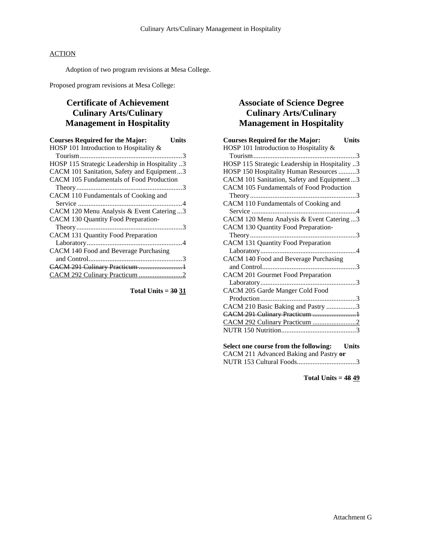Adoption of two program revisions at Mesa College.

Proposed program revisions at Mesa College:

## **Certificate of Achievement Culinary Arts/Culinary Management in Hospitality**

| <b>Courses Required for the Major:</b><br>Units |
|-------------------------------------------------|
| HOSP 101 Introduction to Hospitality &          |
|                                                 |
| HOSP 115 Strategic Leadership in Hospitality 3  |
| CACM 101 Sanitation, Safety and Equipment3      |
| <b>CACM 105 Fundamentals of Food Production</b> |
|                                                 |
| CACM 110 Fundamentals of Cooking and            |
|                                                 |
| CACM 120 Menu Analysis & Event Catering3        |
| CACM 130 Quantity Food Preparation-             |
|                                                 |
| CACM 131 Quantity Food Preparation              |
|                                                 |
| CACM 140 Food and Beverage Purchasing           |
|                                                 |
|                                                 |
|                                                 |

**Total Units = 30 31**

## **Associate of Science Degree Culinary Arts/Culinary Management in Hospitality**

| <b>Courses Required for the Major:</b><br><b>Units</b> |
|--------------------------------------------------------|
| HOSP 101 Introduction to Hospitality &                 |
|                                                        |
| HOSP 115 Strategic Leadership in Hospitality 3         |
| HOSP 150 Hospitality Human Resources 3                 |
| CACM 101 Sanitation, Safety and Equipment3             |
| CACM 105 Fundamentals of Food Production               |
|                                                        |
| CACM 110 Fundamentals of Cooking and                   |
|                                                        |
| CACM 120 Menu Analysis & Event Catering3               |
| CACM 130 Quantity Food Preparation-                    |
|                                                        |
| CACM 131 Quantity Food Preparation                     |
|                                                        |
| CACM 140 Food and Beverage Purchasing                  |
|                                                        |
| CACM 201 Gourmet Food Preparation                      |
|                                                        |
| CACM 205 Garde Manger Cold Food                        |
|                                                        |
| CACM 210 Basic Baking and Pastry 3                     |
| CACM 291 Culinary Practicum 1                          |
|                                                        |
|                                                        |
|                                                        |
| Select one course from the following: Units            |
| CACM 211 Advanced Baking and Pastry or                 |
|                                                        |

**Total Units = 48 49**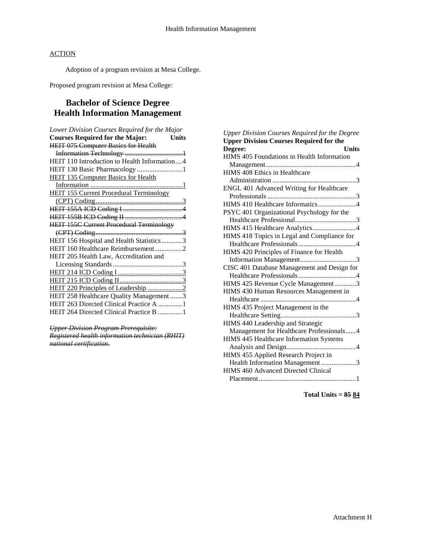Adoption of a program revision at Mesa College.

Proposed program revision at Mesa College:

# **Bachelor of Science Degree Health Information Management**

| Lower Division Courses Required for the Major          |  |
|--------------------------------------------------------|--|
| <b>Courses Required for the Major:</b><br><b>Units</b> |  |
| <b>HEIT 075 Computer Basics for Health</b>             |  |
|                                                        |  |
| HEIT 110 Introduction to Health Information4           |  |
| HEIT 130 Basic Pharmacology 1                          |  |
| <b>HEIT 135 Computer Basics for Health</b>             |  |
|                                                        |  |
| <b>HEIT 155 Current Procedural Terminology</b>         |  |
|                                                        |  |
|                                                        |  |
|                                                        |  |
| <b>HEIT 155C Current Procedural Terminology</b>        |  |
|                                                        |  |
| HEIT 156 Hospital and Health Statistics3               |  |
| HEIT 160 Healthcare Reimbursement2                     |  |
| HEIT 205 Health Law, Accreditation and                 |  |
|                                                        |  |
|                                                        |  |
|                                                        |  |
| HEIT 220 Principles of Leadership 2                    |  |
| HEIT 258 Healthcare Quality Management 3               |  |
| HEIT 263 Directed Clinical Practice A 1                |  |
| HEIT 264 Directed Clinical Practice B 1                |  |

*Upper Division Program Prerequisite:*

*Registered health information technician (RHIT) national certification.*

| <b>Upper Division Courses Required for the Degree</b> |
|-------------------------------------------------------|
| <b>Upper Division Courses Required for the</b>        |
| Degree:<br>Units                                      |
| HIMS 405 Foundations in Health Information            |
|                                                       |
| HIMS 408 Ethics in Healthcare                         |
|                                                       |
| ENGL 401 Advanced Writing for Healthcare              |
|                                                       |
| HIMS 410 Healthcare Informatics4                      |
| PSYC 401 Organizational Psychology for the            |
|                                                       |
| HIMS 415 Healthcare Analytics4                        |
| HIMS 418 Topics in Legal and Compliance for           |
|                                                       |
| HIMS 420 Principles of Finance for Health             |
|                                                       |
| CISC 401 Database Management and Design for           |
|                                                       |
| HIMS 425 Revenue Cycle Management 3                   |
| HIMS 430 Human Resources Management in                |
|                                                       |
| HIMS 435 Project Management in the                    |
|                                                       |
| HIMS 440 Leadership and Strategic                     |
| Management for Healthcare Professionals4              |
| HIMS 445 Healthcare Information Systems               |
|                                                       |
| HIMS 455 Applied Research Project in                  |
| Health Information Management 3                       |
| HIMS 460 Advanced Directed Clinical                   |
|                                                       |

**Total Units = 85 84**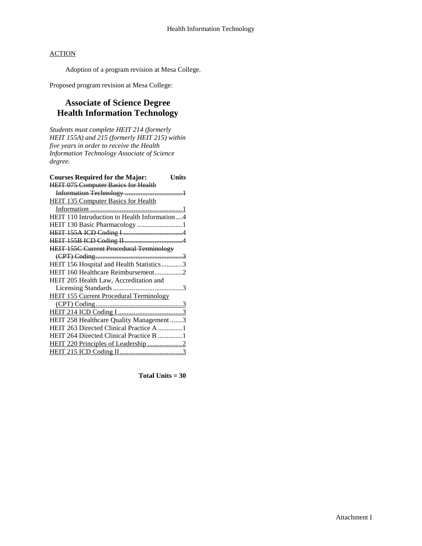Adoption of a program revision at Mesa College.

Proposed program revision at Mesa College:

## **Associate of Science Degree Health Information Technology**

*Students must complete HEIT 214 (formerly HEIT 155A) and 215 (formerly HEIT 215) within five years in order to receive the Health Information Technology Associate of Science degree.*

| <b>Courses Required for the Major:</b><br>Units |
|-------------------------------------------------|
| <b>HEIT 075 Computer Basics for Health</b>      |
|                                                 |
| <b>HEIT 135 Computer Basics for Health</b>      |
|                                                 |
| HEIT 110 Introduction to Health Information4    |
| HEIT 130 Basic Pharmacology 1                   |
|                                                 |
|                                                 |
| <b>HEIT 155C Current Procedural Terminology</b> |
|                                                 |
| HEIT 156 Hospital and Health Statistics3        |
| HEIT 160 Healthcare Reimbursement2              |
| HEIT 205 Health Law, Accreditation and          |
|                                                 |
| <b>HEIT 155 Current Procedural Terminology</b>  |
|                                                 |
|                                                 |
| HEIT 258 Healthcare Quality Management 3        |
| HEIT 263 Directed Clinical Practice A  1        |
| HEIT 264 Directed Clinical Practice B 1         |
| HEIT 220 Principles of Leadership 2             |
|                                                 |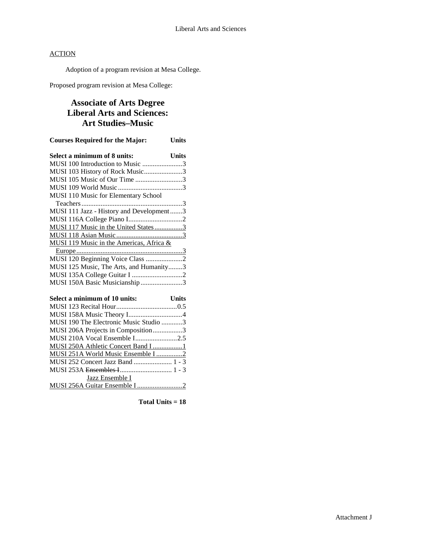Adoption of a program revision at Mesa College.

Proposed program revision at Mesa College:

## **Associate of Arts Degree Liberal Arts and Sciences: Art Studies–Music**

| <b>Courses Required for the Major:</b>   |              |
|------------------------------------------|--------------|
| Select a minimum of 8 units:             | <b>Units</b> |
| MUSI 100 Introduction to Music 3         |              |
| MUSI 103 History of Rock Music3          |              |
| MUSI 105 Music of Our Time 3             |              |
|                                          |              |
| MUSI 110 Music for Elementary School     |              |
|                                          |              |
| MUSI 111 Jazz - History and Development3 |              |
|                                          |              |
| MUSI 117 Music in the United States3     |              |
|                                          |              |
| MUSI 119 Music in the Americas, Africa & |              |
|                                          |              |
|                                          |              |
| MUSI 125 Music, The Arts, and Humanity3  |              |
|                                          |              |
| MUSI 150A Basic Musicianship3            |              |
| Select a minimum of 10 units:            | Units        |
| $\mathbf{A}$                             |              |

| MUSI 190 The Electronic Music Studio 3 |  |
|----------------------------------------|--|
| MUSI 206A Projects in Composition3     |  |
|                                        |  |
| MUSI 250A Athletic Concert Band I 1    |  |
| MUSI 251A World Music Ensemble I 2     |  |
|                                        |  |
|                                        |  |
| Jazz Ensemble I                        |  |
|                                        |  |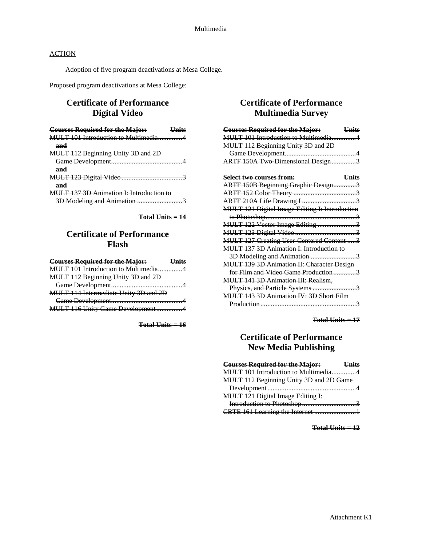Adoption of five program deactivations at Mesa College.

Proposed program deactivations at Mesa College:

# **Certificate of Performance Digital Video**

| <b>Courses Required for the Major:</b>          |  |
|-------------------------------------------------|--|
| MULT 101 Introduction to Multimedia             |  |
| and                                             |  |
| MULT 112 Beginning Unity 3D and 2D              |  |
|                                                 |  |
| and                                             |  |
|                                                 |  |
| and                                             |  |
| <b>MULT 137 3D Animation I: Introduction to</b> |  |
|                                                 |  |
|                                                 |  |

**Total Units = 14**

## **Certificate of Performance Flash**

| <b>Courses Required for the Major:</b> |  |
|----------------------------------------|--|
| MULT 101 Introduction to Multimedia    |  |
| MULT 112 Beginning Unity 3D and 2D     |  |
|                                        |  |
| MULT 114 Intermediate Unity 3D and 2D  |  |
|                                        |  |
| MULT 116 Unity Game Development        |  |

**Total Units = 16**

# **Certificate of Performance Multimedia Survey**

T**otal Units = 17**

# **Certificate of Performance New Media Publishing**

| <b>Courses Required for the Major:</b>      |  |
|---------------------------------------------|--|
| <b>MULT 101 Introduction to Multimedia4</b> |  |
| MULT 112 Beginning Unity 3D and 2D Game     |  |
|                                             |  |
| <b>MULT 121 Digital Image Editing I:</b>    |  |
|                                             |  |
| <b>CBTE 161 Learning the Internet </b>      |  |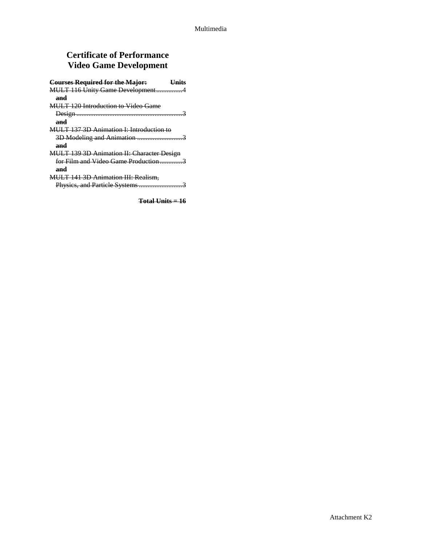# **Certificate of Performance Video Game Development**

| <b>Courses Required for the Major:</b>     |
|--------------------------------------------|
| MULT 116 Unity Game Development4           |
| and                                        |
| MULT 120 Introduction to Video Game        |
|                                            |
| and                                        |
| MULT 137.3D Animation I: Introduction to   |
|                                            |
| and                                        |
| MULT 139 3D Animation II: Character Design |
|                                            |
| and                                        |
| <b>MULT 141 3D Animation III: Realism,</b> |
|                                            |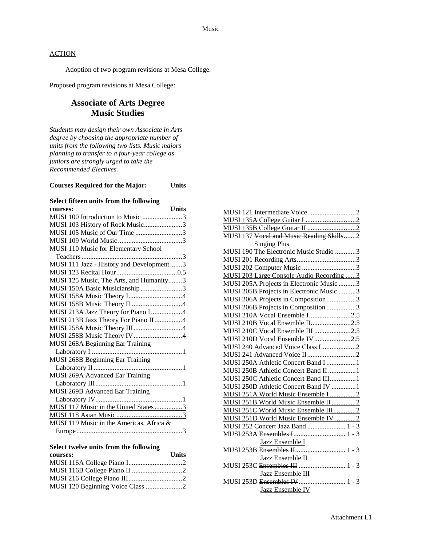Adoption of two program revisions at Mesa College.

Proposed program revisions at Mesa College:

## **Associate of Arts Degree Music Studies**

*Students may design their own Associate in Arts degree by choosing the appropriate number of units from the following two lists. Music majors planning to transfer to a four-year college as juniors are strongly urged to take the Recommended Electives.*

**Courses Required for the Major: Units**

## **Select fifteen units from the following**

| Units<br>courses:                        |
|------------------------------------------|
| MUSI 100 Introduction to Music 3         |
| MUSI 103 History of Rock Music3          |
| MUSI 105 Music of Our Time 3             |
|                                          |
| MUSI 110 Music for Elementary School     |
|                                          |
| MUSI 111 Jazz - History and Development3 |
|                                          |
| MUSI 125 Music, The Arts, and Humanity3  |
| MUSI 150A Basic Musicianship3            |
|                                          |
|                                          |
| MUSI 213A Jazz Theory for Piano I4       |
| MUSI 213B Jazz Theory For Piano II4      |
| MUSI 258A Music Theory III4              |
| MUSI 258B Music Theory IV4               |
| MUSI 268A Beginning Ear Training         |
|                                          |
| MUSI 268B Beginning Ear Training         |
|                                          |
| MUSI 269A Advanced Ear Training          |
|                                          |
| MUSI 269B Advanced Ear Training          |
|                                          |
| MUSI 117 Music in the United States3     |
|                                          |
| MUSI 119 Music in the Americas, Africa & |
|                                          |

| courses: | <b>Units</b> |
|----------|--------------|
|          |              |
|          |              |
|          |              |
|          |              |

| MUSI 137 Vocal and Music Reading Skills2 |
|------------------------------------------|
| <b>Singing Plus</b>                      |
| MUSI 190 The Electronic Music Studio 3   |
|                                          |
| MUSI 202 Computer Music 3                |
| MUSI 203 Large Console Audio Recording3  |
| MUSI 205A Projects in Electronic Music 3 |
| MUSI 205B Projects in Electronic Music 3 |
| MUSI 206A Projects in Composition3       |
| MUSI 206B Projects in Composition 3      |
| MUSI 210A Vocal Ensemble I2.5            |
| MUSI 210B Vocal Ensemble II2.5           |
| MUSI 210C Vocal Ensemble III 2.5         |
| MUSI 210D Vocal Ensemble IV2.5           |
| MUSI 240 Advanced Voice Class I2         |
|                                          |
| MUSI 250A Athletic Concert Band I  1     |
| MUSI 250B Athletic Concert Band II  1    |
| MUSI 250C Athletic Concert Band III 1    |
| MUSI 250D Athletic Concert Band IV  1    |
| MUSI 251A World Music Ensemble I 2       |
| MUSI 251B World Music Ensemble II2       |
| MUSI 251C World Music Ensemble III2      |
| MUSI 251D World Music Ensemble IV 2      |
| MUSI 252 Concert Jazz Band  1 - 3        |
|                                          |
| Jazz Ensemble I                          |
|                                          |
| Jazz Ensemble II                         |
|                                          |
| Jazz Ensemble III                        |
|                                          |
| Jazz Ensemble IV                         |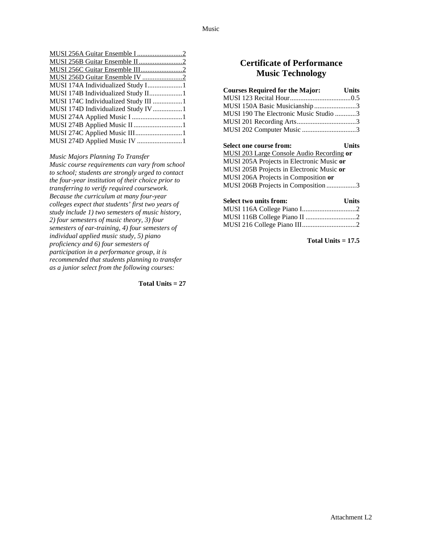| MUSI 174A Individualized Study I1    |  |
|--------------------------------------|--|
| MUSI 174B Individualized Study II1   |  |
| MUSI 174C Individualized Study III 1 |  |
| MUSI 174D Individualized Study IV1   |  |
| MUSI 274A Applied Music I 1          |  |
|                                      |  |
|                                      |  |
|                                      |  |

### *Music Majors Planning To Transfer*

*Music course requirements can vary from school to school; students are strongly urged to contact the four-year institution of their choice prior to transferring to verify required coursework. Because the curriculum at many four-year colleges expect that students' first two years of study include 1) two semesters of music history, 2) four semesters of music theory, 3) four semesters of ear-training, 4) four semesters of individual applied music study, 5) piano proficiency and 6) four semesters of participation in a performance group, it is recommended that students planning to transfer as a junior select from the following courses:*

**Total Units = 27**

## **Certificate of Performance Music Technology**

| <b>Courses Required for the Major:</b> | <b>Units</b> |
|----------------------------------------|--------------|
|                                        |              |
| MUSI 150A Basic Musicianship3          |              |
| MUSI 190 The Electronic Music Studio 3 |              |
|                                        |              |
| MUSI 202 Computer Music 3              |              |

| Select one course from:                   | <b>Units</b> |
|-------------------------------------------|--------------|
| MUSI 203 Large Console Audio Recording or |              |
| MUSI 205A Projects in Electronic Music or |              |
| MUSI 205B Projects in Electronic Music or |              |
| MUSI 206A Projects in Composition or      |              |
| MUSI 206B Projects in Composition 3       |              |

| <b>Select two units from:</b> | <b>Units</b> |
|-------------------------------|--------------|
|                               |              |
|                               |              |
|                               |              |

**Total Units = 17.5**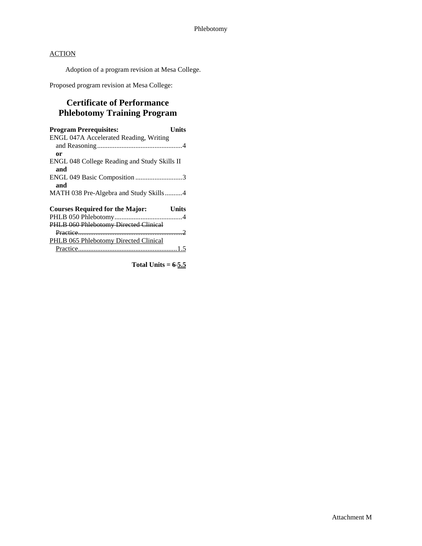Adoption of a program revision at Mesa College.

Proposed program revision at Mesa College:

# **Certificate of Performance Phlebotomy Training Program**

| <b>Program Prerequisites:</b>                | Units |
|----------------------------------------------|-------|
| ENGL 047A Accelerated Reading, Writing       |       |
|                                              |       |
| 0r                                           |       |
| ENGL 048 College Reading and Study Skills II |       |
| and                                          |       |
| ENGL 049 Basic Composition3                  |       |
| and                                          |       |
| MATH 038 Pre-Algebra and Study Skills4       |       |
|                                              |       |
| <b>Courses Required for the Major:</b>       | Units |
|                                              |       |
| PHLB 060 Phlebotomy Directed Clinical        |       |
|                                              |       |
| <b>PHLB 065 Phlebotomy Directed Clinical</b> |       |
|                                              |       |

**Total Units = 6 5.5**